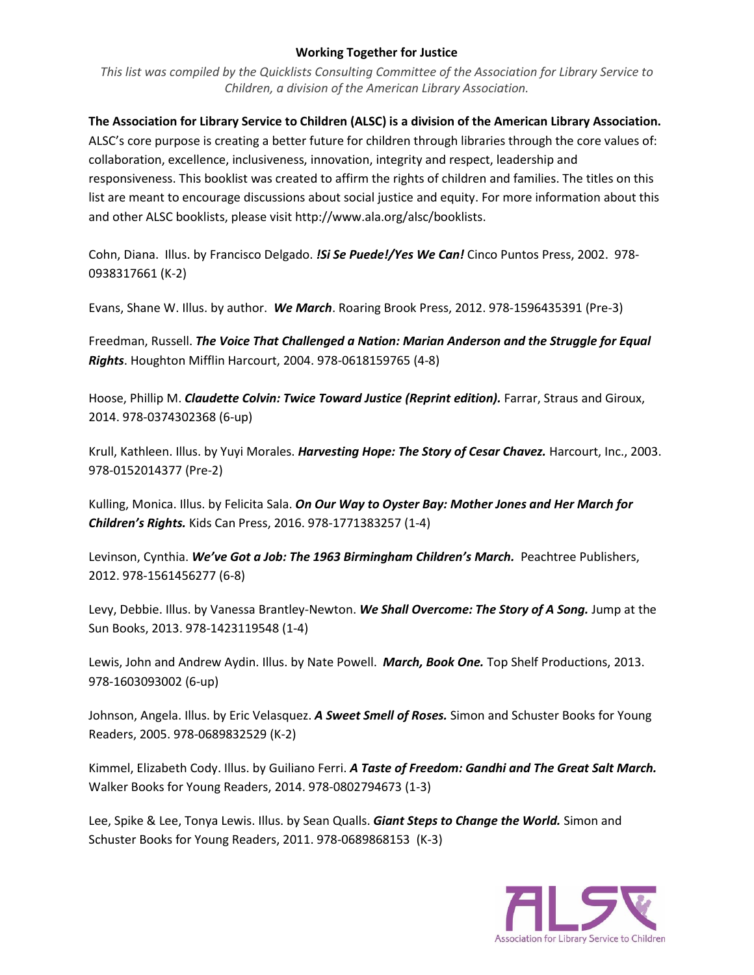## **Working Together for Justice**

*This list was compiled by the Quicklists Consulting Committee of the Association for Library Service to Children, a division of the American Library Association.*

**The Association for Library Service to Children (ALSC) is a division of the American Library Association.** ALSC's core purpose is creating a better future for children through libraries through the core values of: collaboration, excellence, inclusiveness, innovation, integrity and respect, leadership and responsiveness. This booklist was created to affirm the rights of children and families. The titles on this list are meant to encourage discussions about social justice and equity. For more information about this and other ALSC booklists, please visit http://www.ala.org/alsc/booklists.

Cohn, Diana. Illus. by Francisco Delgado. *!Si Se Puede!/Yes We Can!* Cinco Puntos Press, 2002. 978- 0938317661 (K-2)

Evans, Shane W. Illus. by author. *We March*. Roaring Brook Press, 2012. 978-1596435391 (Pre-3)

Freedman, Russell. *The Voice That Challenged a Nation: Marian Anderson and the Struggle for Equal Rights*. Houghton Mifflin Harcourt, 2004. 978-0618159765 (4-8)

Hoose, Phillip M. *Claudette Colvin: Twice Toward Justice (Reprint edition).* Farrar, Straus and Giroux, 2014. 978-0374302368 (6-up)

Krull, Kathleen. Illus. by Yuyi Morales. *Harvesting Hope: The Story of Cesar Chavez.* Harcourt, Inc., 2003. 978-0152014377 (Pre-2)

Kulling, Monica. Illus. by Felicita Sala. *On Our Way to Oyster Bay: Mother Jones and Her March for Children's Rights.* Kids Can Press, 2016. 978-1771383257 (1-4)

Levinson, Cynthia. *We've Got a Job: The 1963 Birmingham Children's March.* Peachtree Publishers, 2012. 978-1561456277 (6-8)

Levy, Debbie. Illus. by Vanessa Brantley-Newton. *We Shall Overcome: The Story of A Song.* Jump at the Sun Books, 2013. 978-1423119548 (1-4)

Lewis, John and Andrew Aydin. Illus. by Nate Powell. *March, Book One.* Top Shelf Productions, 2013. 978-1603093002 (6-up)

Johnson, Angela. Illus. by Eric Velasquez. *A Sweet Smell of Roses.* Simon and Schuster Books for Young Readers, 2005. 978-0689832529 (K-2)

Kimmel, Elizabeth Cody. Illus. by Guiliano Ferri. *A Taste of Freedom: Gandhi and The Great Salt March.* Walker Books for Young Readers, 2014. 978-0802794673 (1-3)

Lee, Spike & Lee, Tonya Lewis. Illus. by Sean Qualls. *Giant Steps to Change the World.* Simon and Schuster Books for Young Readers, 2011. 978-0689868153 (K-3)